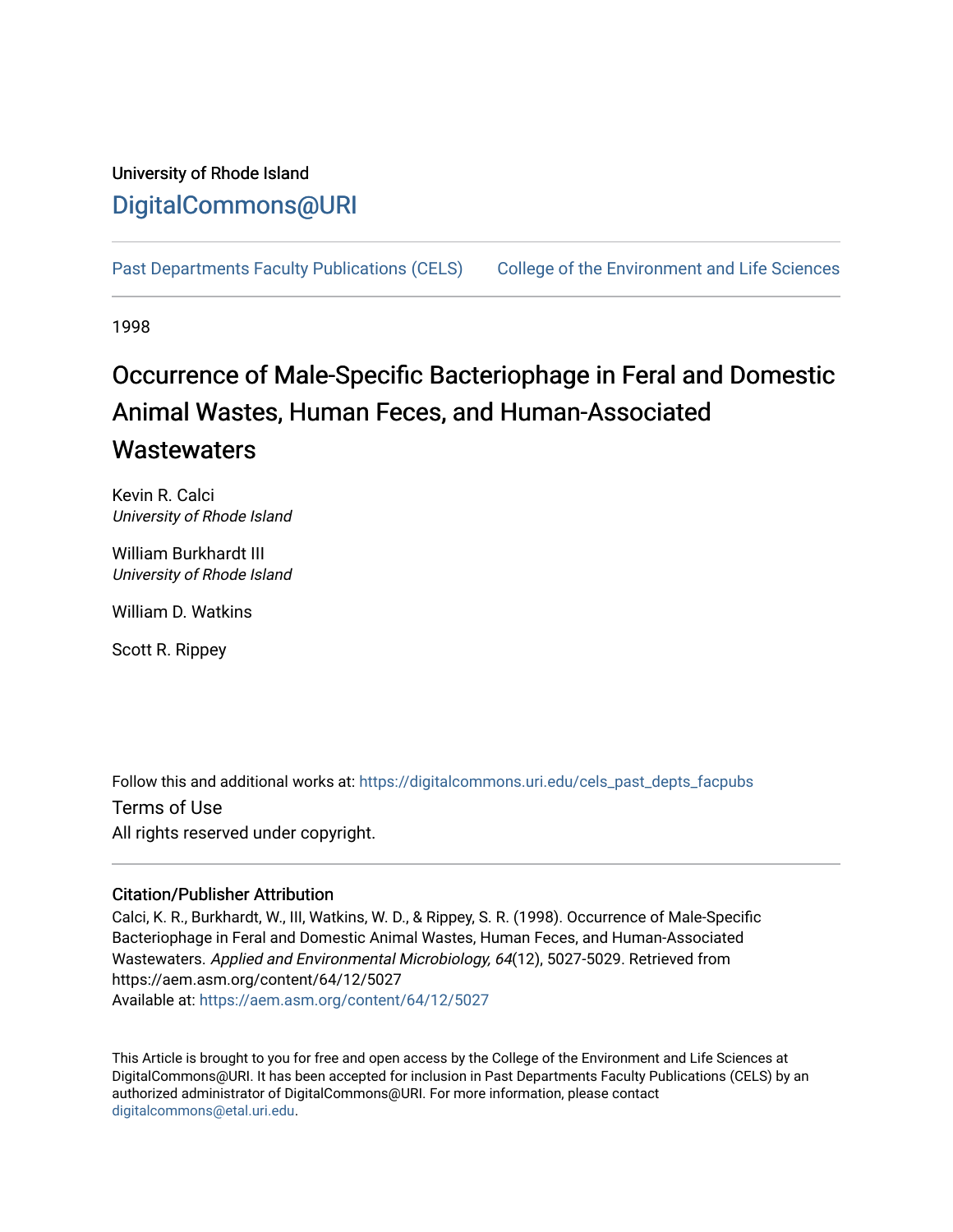## University of Rhode Island [DigitalCommons@URI](https://digitalcommons.uri.edu/)

[Past Departments Faculty Publications \(CELS\)](https://digitalcommons.uri.edu/cels_past_depts_facpubs) College of the Environment and Life Sciences

1998

# Occurrence of Male-Specific Bacteriophage in Feral and Domestic Animal Wastes, Human Feces, and Human-Associated **Wastewaters**

Kevin R. Calci University of Rhode Island

William Burkhardt III University of Rhode Island

William D. Watkins

Scott R. Rippey

Follow this and additional works at: [https://digitalcommons.uri.edu/cels\\_past\\_depts\\_facpubs](https://digitalcommons.uri.edu/cels_past_depts_facpubs?utm_source=digitalcommons.uri.edu%2Fcels_past_depts_facpubs%2F4&utm_medium=PDF&utm_campaign=PDFCoverPages) 

Terms of Use All rights reserved under copyright.

## Citation/Publisher Attribution

Calci, K. R., Burkhardt, W., III, Watkins, W. D., & Rippey, S. R. (1998). Occurrence of Male-Specific Bacteriophage in Feral and Domestic Animal Wastes, Human Feces, and Human-Associated Wastewaters. Applied and Environmental Microbiology, 64(12), 5027-5029. Retrieved from https://aem.asm.org/content/64/12/5027 Available at:<https://aem.asm.org/content/64/12/5027>

This Article is brought to you for free and open access by the College of the Environment and Life Sciences at DigitalCommons@URI. It has been accepted for inclusion in Past Departments Faculty Publications (CELS) by an authorized administrator of DigitalCommons@URI. For more information, please contact [digitalcommons@etal.uri.edu](mailto:digitalcommons@etal.uri.edu).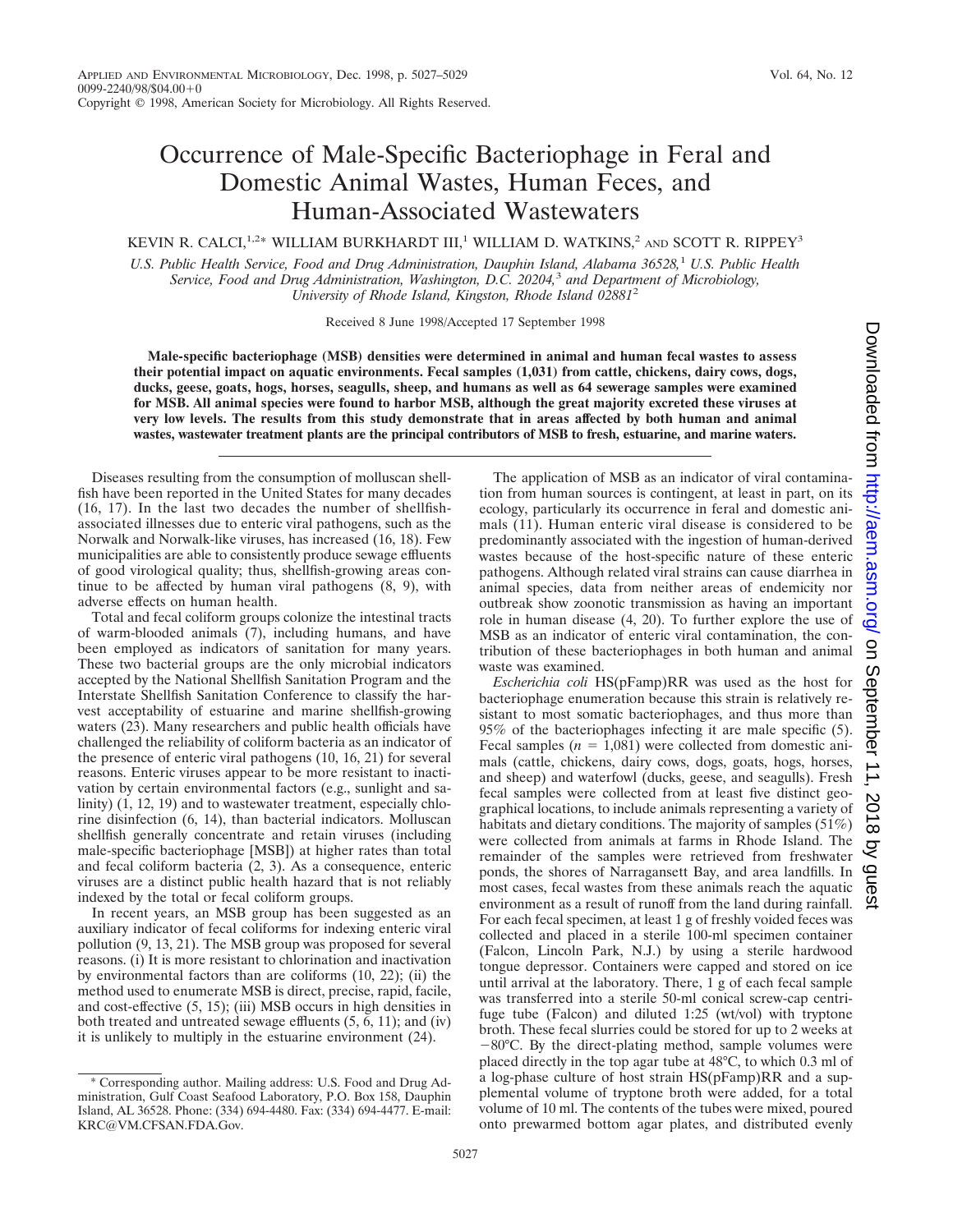# Occurrence of Male-Specific Bacteriophage in Feral and Domestic Animal Wastes, Human Feces, and Human-Associated Wastewaters

## KEVIN R. CALCI,<sup>1,2\*</sup> WILLIAM BURKHARDT III,<sup>1</sup> WILLIAM D. WATKINS,<sup>2</sup> AND SCOTT R. RIPPEY<sup>3</sup>

*U.S. Public Health Service, Food and Drug Administration, Dauphin Island, Alabama 36528,*<sup>1</sup> *U.S. Public Health Service, Food and Drug Administration, Washington, D.C. 20204,*<sup>3</sup> *and Department of Microbiology, University of Rhode Island, Kingston, Rhode Island 02881*<sup>2</sup>

Received 8 June 1998/Accepted 17 September 1998

**Male-specific bacteriophage (MSB) densities were determined in animal and human fecal wastes to assess their potential impact on aquatic environments. Fecal samples (1,031) from cattle, chickens, dairy cows, dogs, ducks, geese, goats, hogs, horses, seagulls, sheep, and humans as well as 64 sewerage samples were examined for MSB. All animal species were found to harbor MSB, although the great majority excreted these viruses at very low levels. The results from this study demonstrate that in areas affected by both human and animal wastes, wastewater treatment plants are the principal contributors of MSB to fresh, estuarine, and marine waters.**

Diseases resulting from the consumption of molluscan shellfish have been reported in the United States for many decades (16, 17). In the last two decades the number of shellfishassociated illnesses due to enteric viral pathogens, such as the Norwalk and Norwalk-like viruses, has increased (16, 18). Few municipalities are able to consistently produce sewage effluents of good virological quality; thus, shellfish-growing areas continue to be affected by human viral pathogens (8, 9), with adverse effects on human health.

Total and fecal coliform groups colonize the intestinal tracts of warm-blooded animals (7), including humans, and have been employed as indicators of sanitation for many years. These two bacterial groups are the only microbial indicators accepted by the National Shellfish Sanitation Program and the Interstate Shellfish Sanitation Conference to classify the harvest acceptability of estuarine and marine shellfish-growing waters (23). Many researchers and public health officials have challenged the reliability of coliform bacteria as an indicator of the presence of enteric viral pathogens (10, 16, 21) for several reasons. Enteric viruses appear to be more resistant to inactivation by certain environmental factors (e.g., sunlight and salinity) (1, 12, 19) and to wastewater treatment, especially chlorine disinfection (6, 14), than bacterial indicators. Molluscan shellfish generally concentrate and retain viruses (including male-specific bacteriophage [MSB]) at higher rates than total and fecal coliform bacteria (2, 3). As a consequence, enteric viruses are a distinct public health hazard that is not reliably indexed by the total or fecal coliform groups.

In recent years, an MSB group has been suggested as an auxiliary indicator of fecal coliforms for indexing enteric viral pollution (9, 13, 21). The MSB group was proposed for several reasons. (i) It is more resistant to chlorination and inactivation by environmental factors than are coliforms (10, 22); (ii) the method used to enumerate MSB is direct, precise, rapid, facile, and cost-effective (5, 15); (iii) MSB occurs in high densities in both treated and untreated sewage effluents (5, 6, 11); and (iv) it is unlikely to multiply in the estuarine environment (24).

The application of MSB as an indicator of viral contamination from human sources is contingent, at least in part, on its ecology, particularly its occurrence in feral and domestic animals (11). Human enteric viral disease is considered to be predominantly associated with the ingestion of human-derived wastes because of the host-specific nature of these enteric pathogens. Although related viral strains can cause diarrhea in animal species, data from neither areas of endemicity nor outbreak show zoonotic transmission as having an important role in human disease (4, 20). To further explore the use of MSB as an indicator of enteric viral contamination, the contribution of these bacteriophages in both human and animal waste was examined.

*Escherichia coli* HS(pFamp)RR was used as the host for bacteriophage enumeration because this strain is relatively resistant to most somatic bacteriophages, and thus more than 95% of the bacteriophages infecting it are male specific (5). Fecal samples  $(n = 1,081)$  were collected from domestic animals (cattle, chickens, dairy cows, dogs, goats, hogs, horses, and sheep) and waterfowl (ducks, geese, and seagulls). Fresh fecal samples were collected from at least five distinct geographical locations, to include animals representing a variety of habitats and dietary conditions. The majority of samples (51%) were collected from animals at farms in Rhode Island. The remainder of the samples were retrieved from freshwater ponds, the shores of Narragansett Bay, and area landfills. In most cases, fecal wastes from these animals reach the aquatic environment as a result of runoff from the land during rainfall. For each fecal specimen, at least 1 g of freshly voided feces was collected and placed in a sterile 100-ml specimen container (Falcon, Lincoln Park, N.J.) by using a sterile hardwood tongue depressor. Containers were capped and stored on ice until arrival at the laboratory. There,  $1 \text{ g}$  of each fecal sample was transferred into a sterile 50-ml conical screw-cap centrifuge tube (Falcon) and diluted 1:25 (wt/vol) with tryptone broth. These fecal slurries could be stored for up to 2 weeks at  $-80^{\circ}$ C. By the direct-plating method, sample volumes were placed directly in the top agar tube at 48°C, to which 0.3 ml of a log-phase culture of host strain HS(pFamp)RR and a supplemental volume of tryptone broth were added, for a total volume of 10 ml. The contents of the tubes were mixed, poured onto prewarmed bottom agar plates, and distributed evenly

<sup>\*</sup> Corresponding author. Mailing address: U.S. Food and Drug Administration, Gulf Coast Seafood Laboratory, P.O. Box 158, Dauphin Island, AL 36528. Phone: (334) 694-4480. Fax: (334) 694-4477. E-mail: KRC@VM.CFSAN.FDA.Gov.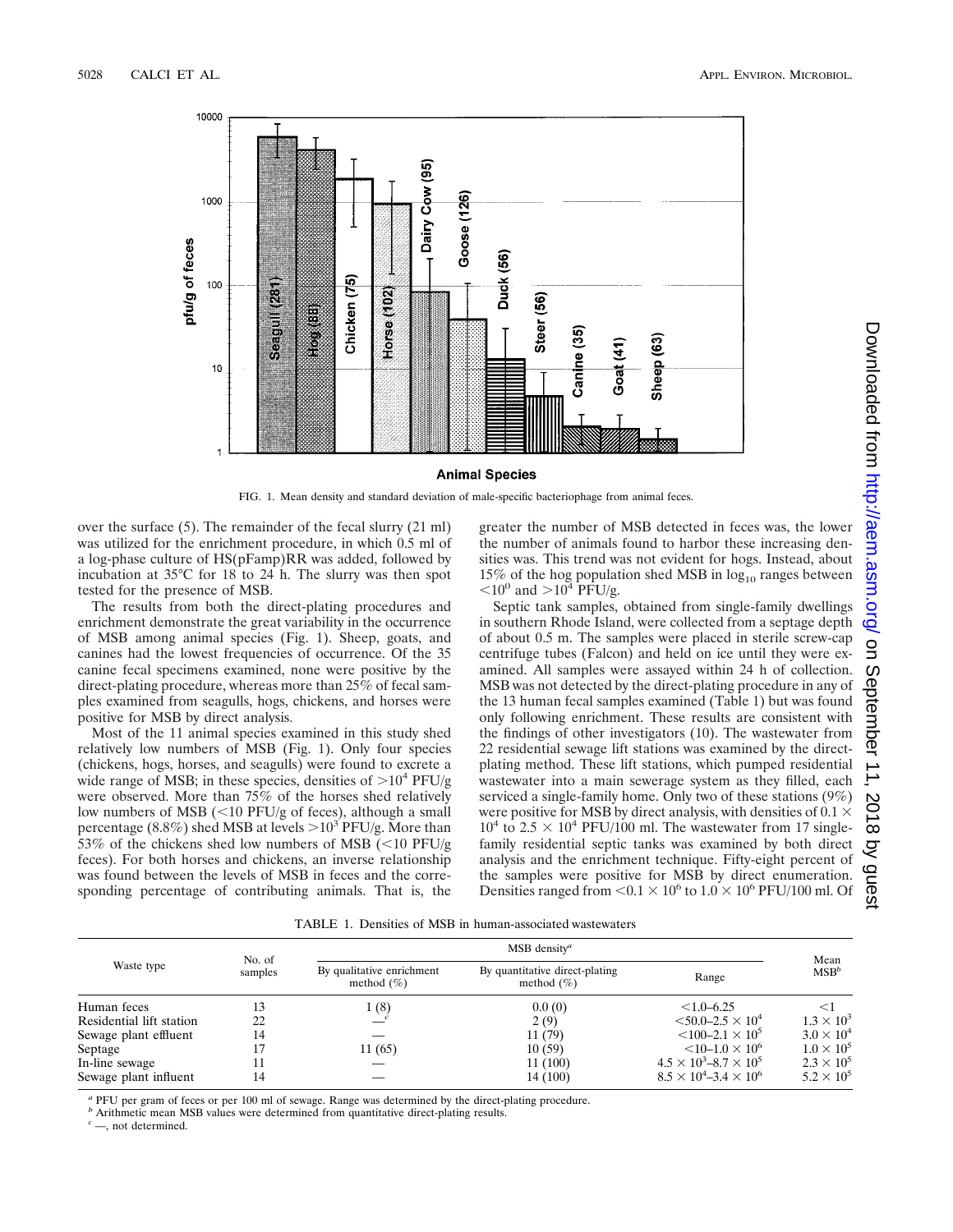

FIG. 1. Mean density and standard deviation of male-specific bacteriophage from animal feces.

over the surface (5). The remainder of the fecal slurry (21 ml) was utilized for the enrichment procedure, in which 0.5 ml of a log-phase culture of HS(pFamp)RR was added, followed by incubation at 35°C for 18 to 24 h. The slurry was then spot tested for the presence of MSB.

The results from both the direct-plating procedures and enrichment demonstrate the great variability in the occurrence of MSB among animal species (Fig. 1). Sheep, goats, and canines had the lowest frequencies of occurrence. Of the 35 canine fecal specimens examined, none were positive by the direct-plating procedure, whereas more than 25% of fecal samples examined from seagulls, hogs, chickens, and horses were positive for MSB by direct analysis.

Most of the 11 animal species examined in this study shed relatively low numbers of MSB (Fig. 1). Only four species (chickens, hogs, horses, and seagulls) were found to excrete a wide range of MSB; in these species, densities of  $>10^4$  PFU/g were observed. More than 75% of the horses shed relatively low numbers of MSB  $\left($  < 10 PFU/g of feces), although a small percentage (8.8%) shed MSB at levels  $>10^3$  PFU/g. More than 53% of the chickens shed low numbers of MSB  $\left($ <10 PFU/g feces). For both horses and chickens, an inverse relationship was found between the levels of MSB in feces and the corresponding percentage of contributing animals. That is, the greater the number of MSB detected in feces was, the lower the number of animals found to harbor these increasing densities was. This trend was not evident for hogs. Instead, about 15% of the hog population shed MSB in  $log_{10}$  ranges between  $<$ 10<sup>0</sup> and  $>$ 10<sup>4</sup> PFU/g.

Septic tank samples, obtained from single-family dwellings in southern Rhode Island, were collected from a septage depth of about 0.5 m. The samples were placed in sterile screw-cap centrifuge tubes (Falcon) and held on ice until they were examined. All samples were assayed within 24 h of collection. MSB was not detected by the direct-plating procedure in any of the 13 human fecal samples examined (Table 1) but was found only following enrichment. These results are consistent with the findings of other investigators (10). The wastewater from 22 residential sewage lift stations was examined by the directplating method. These lift stations, which pumped residential wastewater into a main sewerage system as they filled, each serviced a single-family home. Only two of these stations (9%) were positive for MSB by direct analysis, with densities of 0.1  $\times$  $10^4$  to 2.5  $\times$  10<sup>4</sup> PFU/100 ml. The wastewater from 17 singlefamily residential septic tanks was examined by both direct analysis and the enrichment technique. Fifty-eight percent of the samples were positive for MSB by direct enumeration. Densities ranged from  $< 0.1 \times 10^6$  to  $1.0 \times 10^6$  PFU/100 ml. Of

| TABLE 1. Densities of MSB in human-associated wastewaters |  |
|-----------------------------------------------------------|--|
|-----------------------------------------------------------|--|

| Waste type               | No. of<br>samples | $MSB$ density <sup>a</sup>                  |                                                  |                                     |                     |
|--------------------------|-------------------|---------------------------------------------|--------------------------------------------------|-------------------------------------|---------------------|
|                          |                   | By qualitative enrichment<br>method $(\% )$ | By quantitative direct-plating<br>method $(\% )$ | Range                               | Mean<br>$MSB^b$     |
| Human feces              |                   | 1(8)                                        | 0.0(0)                                           | $< 1.0 - 6.25$                      |                     |
| Residential lift station | 22                |                                             | 2(9)                                             | $< 50.0 - 2.5 \times 10^4$          | $1.3 \times 10^{3}$ |
| Sewage plant effluent    | 14                |                                             | 11 (79)                                          | $\leq 100 - 2.1 \times 10^5$        | $3.0 \times 10^{4}$ |
| Septage                  |                   | 11(65)                                      | 10(59)                                           | $<10-1.0\times10^{6}$               | $1.0 \times 10^{5}$ |
| In-line sewage           |                   |                                             | 11 (100)                                         | $4.5 \times 10^3 - 8.7 \times 10^5$ | $2.3 \times 10^{5}$ |
| Sewage plant influent    | 14                |                                             | 14 (100)                                         | $8.5 \times 10^4 - 3.4 \times 10^6$ | $5.2 \times 10^5$   |

*<sup>a</sup>* PFU per gram of feces or per 100 ml of sewage. Range was determined by the direct-plating procedure.

*b* Arithmetic mean MSB values were determined from quantitative direct-plating results.

*<sup>c</sup>* —, not determined.